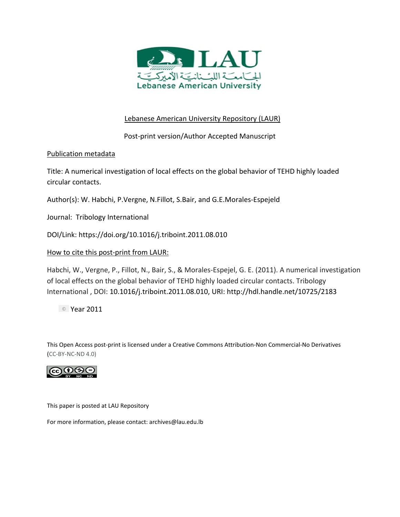

# Lebanese American University Repository (LAUR)

Post‐print version/Author Accepted Manuscript

# Publication metadata

Title: A numerical investigation of local effects on the global behavior of TEHD highly loaded circular contacts.

Author(s): W. Habchi, P.Vergne, N.Fillot, S.Bair, and G.E.Morales‐Espejeld

Journal: Tribology International

DOI/Link: https://doi.org/10.1016/j.triboint.2011.08.010

# How to cite this post‐print from LAUR:

Habchi, W., Vergne, P., Fillot, N., Bair, S., & Morales‐Espejel, G. E. (2011). A numerical investigation of local effects on the global behavior of TEHD highly loaded circular contacts. Tribology International , DOI: 10.1016/j.triboint.2011.08.010, URI: http://hdl.handle.net/10725/2183

<sup>©</sup> Year 2011

This Open Access post‐print is licensed under a Creative Commons Attribution‐Non Commercial‐No Derivatives (CC‐BY‐NC‐ND 4.0)



This paper is posted at LAU Repository

For more information, please contact: archives@lau.edu.lb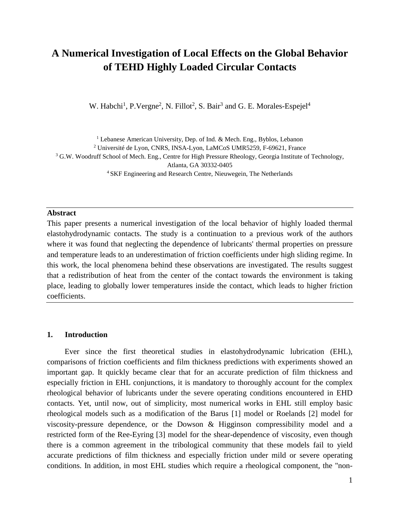# **A Numerical Investigation of Local Effects on the Global Behavior of TEHD Highly Loaded Circular Contacts**

W. Habchi<sup>1</sup>, P.Vergne<sup>2</sup>, N. Fillot<sup>2</sup>, S. Bair<sup>3</sup> and G. E. Morales-Espejel<sup>4</sup>

<sup>1</sup> Lebanese American University, Dep. of Ind. & Mech. Eng., Byblos, Lebanon <sup>2</sup> Université de Lyon, CNRS, INSA-Lyon, LaMCoS UMR5259, F-69621, France <sup>3</sup> G.W. Woodruff School of Mech. Eng., Centre for High Pressure Rheology, Georgia Institute of Technology, Atlanta, GA 30332-0405<br><sup>4</sup> SKF Engineering and Research Centre, Nieuwegein, The Netherlands

#### **Abstract**

This paper presents a numerical investigation of the local behavior of highly loaded thermal elastohydrodynamic contacts. The study is a continuation to a previous work of the authors where it was found that neglecting the dependence of lubricants' thermal properties on pressure and temperature leads to an underestimation of friction coefficients under high sliding regime. In this work, the local phenomena behind these observations are investigated. The results suggest that a redistribution of heat from the center of the contact towards the environment is taking place, leading to globally lower temperatures inside the contact, which leads to higher friction coefficients.

#### **1. Introduction**

Ever since the first theoretical studies in elastohydrodynamic lubrication (EHL), comparisons of friction coefficients and film thickness predictions with experiments showed an important gap. It quickly became clear that for an accurate prediction of film thickness and especially friction in EHL conjunctions, it is mandatory to thoroughly account for the complex rheological behavior of lubricants under the severe operating conditions encountered in EHD contacts. Yet, until now, out of simplicity, most numerical works in EHL still employ basic rheological models such as a modification of the Barus [\[1\]](#page-17-0) model or Roelands [\[2\]](#page-17-1) model for viscosity-pressure dependence, or the Dowson & Higginson compressibility model and a restricted form of the Ree-Eyring [\[3\]](#page-17-2) model for the shear-dependence of viscosity, even though there is a common agreement in the tribological community that these models fail to yield accurate predictions of film thickness and especially friction under mild or severe operating conditions. In addition, in most EHL studies which require a rheological component, the "non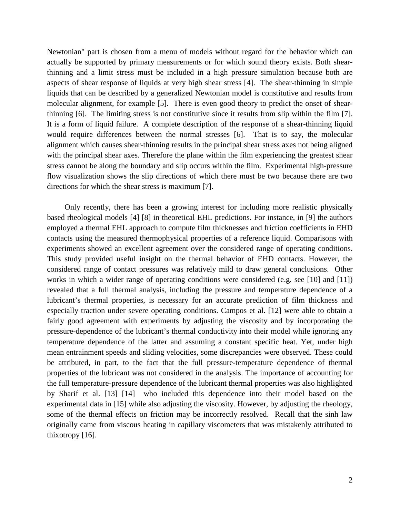Newtonian" part is chosen from a menu of models without regard for the behavior which can actually be supported by primary measurements or for which sound theory exists. Both shearthinning and a limit stress must be included in a high pressure simulation because both are aspects of shear response of liquids at very high shear stress [\[4\].](#page-17-3) The shear-thinning in simple liquids that can be described by a generalized Newtonian model is constitutive and results from molecular alignment, for example [\[5\].](#page-17-4) There is even good theory to predict the onset of shearthinning [\[6\].](#page-17-5) The limiting stress is not constitutive since it results from slip within the film [\[7\].](#page-17-6) It is a form of liquid failure. A complete description of the response of a shear-thinning liquid would require differences between the normal stresses [\[6\].](#page-17-5) That is to say, the molecular alignment which causes shear-thinning results in the principal shear stress axes not being aligned with the principal shear axes. Therefore the plane within the film experiencing the greatest shear stress cannot be along the boundary and slip occurs within the film. Experimental high-pressure flow visualization shows the slip directions of which there must be two because there are two directions for which the shear stress is maximum [\[7\].](#page-17-6)

Only recently, there has been a growing interest for including more realistic physically based rheological models [\[4\]](#page-17-3) [\[8\]](#page-17-7) in theoretical EHL predictions. For instance, in [\[9\]](#page-17-8) the authors employed a thermal EHL approach to compute film thicknesses and friction coefficients in EHD contacts using the measured thermophysical properties of a reference liquid. Comparisons with experiments showed an excellent agreement over the considered range of operating conditions. This study provided useful insight on the thermal behavior of EHD contacts. However, the considered range of contact pressures was relatively mild to draw general conclusions. Other works in which a wider range of operating conditions were considered (e.g. see [\[10\]](#page-18-0) and [\[11\]\)](#page-18-1) revealed that a full thermal analysis, including the pressure and temperature dependence of a lubricant's thermal properties, is necessary for an accurate prediction of film thickness and especially traction under severe operating conditions. Campos et al. [\[12\]](#page-18-2) were able to obtain a fairly good agreement with experiments by adjusting the viscosity and by incorporating the pressure-dependence of the lubricant's thermal conductivity into their model while ignoring any temperature dependence of the latter and assuming a constant specific heat. Yet, under high mean entrainment speeds and sliding velocities, some discrepancies were observed. These could be attributed, in part, to the fact that the full pressure-temperature dependence of thermal properties of the lubricant was not considered in the analysis. The importance of accounting for the full temperature-pressure dependence of the lubricant thermal properties was also highlighted by Sharif et al. [\[13\]](#page-18-3) [\[14\]](#page-18-4) who included this dependence into their model based on the experimental data in [\[15\]](#page-18-5) while also adjusting the viscosity. However, by adjusting the rheology, some of the thermal effects on friction may be incorrectly resolved. Recall that the sinh law originally came from viscous heating in capillary viscometers that was mistakenly attributed to thixotropy [\[16\].](#page-18-6)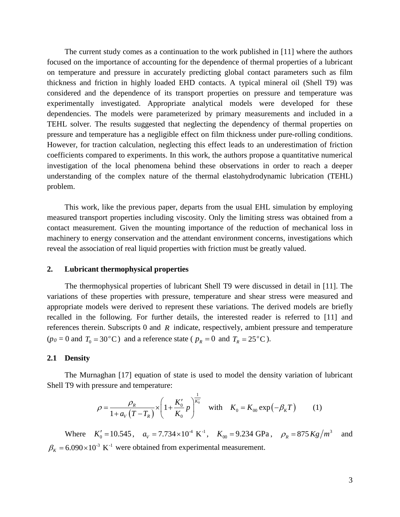The current study comes as a continuation to the work published in [\[11\]](#page-18-1) where the authors focused on the importance of accounting for the dependence of thermal properties of a lubricant on temperature and pressure in accurately predicting global contact parameters such as film thickness and friction in highly loaded EHD contacts. A typical mineral oil (Shell T9) was considered and the dependence of its transport properties on pressure and temperature was experimentally investigated. Appropriate analytical models were developed for these dependencies. The models were parameterized by primary measurements and included in a TEHL solver. The results suggested that neglecting the dependency of thermal properties on pressure and temperature has a negligible effect on film thickness under pure-rolling conditions. However, for traction calculation, neglecting this effect leads to an underestimation of friction coefficients compared to experiments. In this work, the authors propose a quantitative numerical investigation of the local phenomena behind these observations in order to reach a deeper understanding of the complex nature of the thermal elastohydrodynamic lubrication (TEHL) problem.

This work, like the previous paper, departs from the usual EHL simulation by employing measured transport properties including viscosity. Only the limiting stress was obtained from a contact measurement. Given the mounting importance of the reduction of mechanical loss in machinery to energy conservation and the attendant environment concerns, investigations which reveal the association of real liquid properties with friction must be greatly valued.

#### **2. Lubricant thermophysical properties**

The thermophysical properties of lubricant Shell T9 were discussed in detail in [\[11\].](#page-18-1) The variations of these properties with pressure, temperature and shear stress were measured and appropriate models were derived to represent these variations. The derived models are briefly recalled in the following. For further details, the interested reader is referred to [\[11\]](#page-18-1) and references therein. Subscripts 0 and *R* indicate, respectively, ambient pressure and temperature  $(p_0 = 0 \text{ and } T_0 = 30^{\circ} \text{C})$  and a reference state ( $p_R = 0$  and  $T_R = 25^{\circ} \text{C}$ ).

#### **2.1 Density**

The Murnaghan [\[17\]](#page-18-7) equation of state is used to model the density variation of lubricant Shell T9 with pressure and temperature:

$$
\rho = \frac{\rho_R}{1 + a_V (T - T_R)} \times \left( 1 + \frac{K_0'}{K_0} p \right)^{\frac{1}{K_0'}} \quad \text{with} \quad K_0 = K_{00} \exp(-\beta_K T) \tag{1}
$$

Where  $K'_0 = 10.545$ ,  $a_V = 7.734 \times 10^4$  K<sup>-1</sup>,  $K_{00} = 9.234$  GPa,  $\rho_R = 875$  Kg/m<sup>3</sup> and  $\beta_K = 6.090 \times 10^{-3} \text{ K}^{-1}$  were obtained from experimental measurement.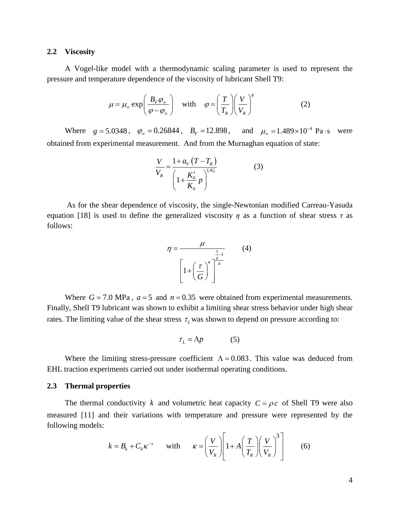#### **2.2 Viscosity**

A Vogel-like model with a thermodynamic scaling parameter is used to represent the pressure and temperature dependence of the viscosity of lubricant Shell T9:

$$
\mu = \mu_{\infty} \exp\left(\frac{B_F \varphi_{\infty}}{\varphi - \varphi_{\infty}}\right) \quad \text{with} \quad \varphi = \left(\frac{T}{T_R}\right) \left(\frac{V}{V_R}\right)^s \tag{2}
$$

Where  $g = 5.0348$ ,  $\varphi_{\infty} = 0.26844$ ,  $B_F = 12.898$ , and  $\mu_{\infty} = 1.489 \times 10^{-4}$  Pa·s were obtained from experimental measurement. And from the Murnaghan equation of state:

$$
\frac{V}{V_R} = \frac{1 + a_V (T - T_R)}{\left(1 + \frac{K_0'}{K_0} p\right)^{1/K_0'}}
$$
(3)

As for the shear dependence of viscosity, the single-Newtonian modified Carreau-Yasuda equation [\[18\]](#page-18-8) is used to define the generalized viscosity  $\eta$  as a function of shear stress  $\tau$  as follows:

$$
\eta = \frac{\mu}{\left[1 + \left(\frac{\tau}{G}\right)^a\right]^{\frac{1}{a}}} \tag{4}
$$

Where  $G = 7.0$  MPa,  $a = 5$  and  $n = 0.35$  were obtained from experimental measurements. Finally, Shell T9 lubricant was shown to exhibit a limiting shear stress behavior under high shear rates. The limiting value of the shear stress  $\tau_L$  was shown to depend on pressure according to:

$$
\tau_L = \Lambda p \tag{5}
$$

Where the limiting stress-pressure coefficient  $\Lambda = 0.083$ . This value was deduced from EHL traction experiments carried out under isothermal operating conditions.

#### <span id="page-4-0"></span>**2.3 Thermal properties**

The thermal conductivity *k* and volumetric heat capacity  $C = \rho c$  of Shell T9 were also measured [\[11\]](#page-18-1) and their variations with temperature and pressure were represented by the following models:

$$
k = B_k + C_k \kappa^{-s} \quad \text{with} \quad \kappa = \left(\frac{V}{V_R}\right) \left[1 + A\left(\frac{T}{T_R}\right) \left(\frac{V}{V_R}\right)^3\right] \tag{6}
$$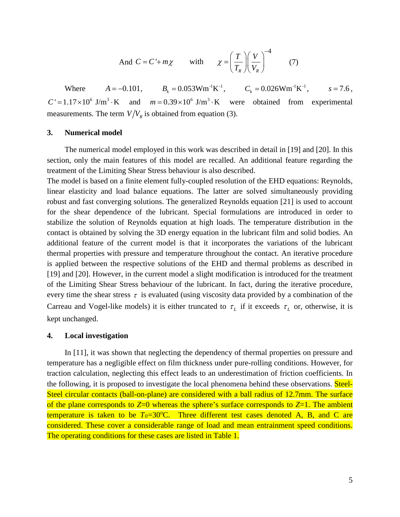And 
$$
C = C' + m\chi
$$
 with  $\chi = \left(\frac{T}{T_R}\right)\left(\frac{V}{V_R}\right)^{-4}$  (7)

Where  $A = -0.101$ ,  $B_k = 0.053Wm^{-1}K^{-1}$ ,  $C_k = 0.026Wm^{-1}K^{-1}$ ,  $s = 7.6$ ,  $C' = 1.17 \times 10^6$  J/m<sup>3</sup> · K and  $m = 0.39 \times 10^6$  J/m<sup>3</sup> · K were obtained from experimental measurements. The term  $V/V_R$  is obtained from equation (3).

## **3. Numerical model**

The numerical model employed in this work was described in detail in [\[19\]](#page-18-9) and [\[20\].](#page-18-10) In this section, only the main features of this model are recalled. An additional feature regarding the treatment of the Limiting Shear Stress behaviour is also described.

The model is based on a finite element fully-coupled resolution of the EHD equations: Reynolds, linear elasticity and load balance equations. The latter are solved simultaneously providing robust and fast converging solutions. The generalized Reynolds equation [\[21\]](#page-18-11) is used to account for the shear dependence of the lubricant. Special formulations are introduced in order to stabilize the solution of Reynolds equation at high loads. The temperature distribution in the contact is obtained by solving the 3D energy equation in the lubricant film and solid bodies. An additional feature of the current model is that it incorporates the variations of the lubricant thermal properties with pressure and temperature throughout the contact. An iterative procedure is applied between the respective solutions of the EHD and thermal problems as described in [\[19\]](#page-18-9) and [\[20\].](#page-18-10) However, in the current model a slight modification is introduced for the treatment of the Limiting Shear Stress behaviour of the lubricant. In fact, during the iterative procedure, every time the shear stress  $\tau$  is evaluated (using viscosity data provided by a combination of the Carreau and Vogel-like models) it is either truncated to  $\tau_L$  if it exceeds  $\tau_L$  or, otherwise, it is kept unchanged.

#### **4. Local investigation**

In [\[11\],](#page-18-1) it was shown that neglecting the dependency of thermal properties on pressure and temperature has a negligible effect on film thickness under pure-rolling conditions. However, for traction calculation, neglecting this effect leads to an underestimation of friction coefficients. In the following, it is proposed to investigate the local phenomena behind these observations. Steel-Steel circular contacts (ball-on-plane) are considered with a ball radius of 12.7mm. The surface of the plane corresponds to *Z*=0 whereas the sphere's surface corresponds to *Z*=1. The ambient temperature is taken to be  $T_0 = 30^{\circ}$ C. Three different test cases denoted A, B, and C are considered. These cover a considerable range of load and mean entrainment speed conditions. The operating conditions for these cases are listed in Table 1.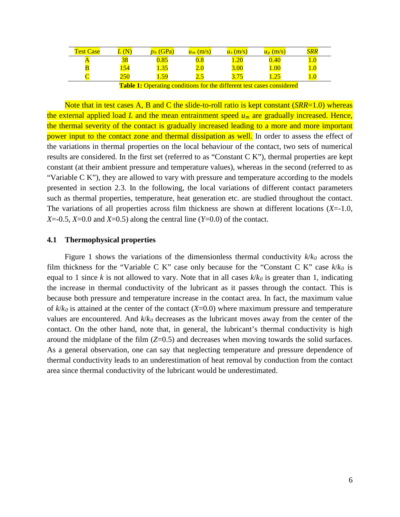| <b>Test Case</b> | ${\bf N}$                     | $p_h$ (GPa)                                                                     | $u_m$ (m/s) | $u_s$ (m/s)  | $u_p$ (m/s)                                                                                                             | SRR               |
|------------------|-------------------------------|---------------------------------------------------------------------------------|-------------|--------------|-------------------------------------------------------------------------------------------------------------------------|-------------------|
|                  | <u>ა</u> ბ                    | $0.85\,$                                                                        | $0.8\,$     | $\sqrt{.20}$ | 0.40                                                                                                                    |                   |
|                  | 154                           | 1.35                                                                            | ∠.∪         | 3.00         | 1.00                                                                                                                    | $\frac{1.0}{1.0}$ |
|                  | $250\,$                       | 59<br>2.JP                                                                      | ر ۷         | <u>J.IJ</u>  | $\sim$<br>1.4.                                                                                                          | $1.0\,$           |
|                  | $\mathbf{m}$ iii $\mathbf{a}$ | the contract of the contract of the contract of the contract of the contract of |             |              | $-1$<br>the contract of the contract of the contract of the contract of the contract of the contract of the contract of |                   |

**Table 1:** Operating conditions for the different test cases considered

Note that in test cases A, B and C the slide-to-roll ratio is kept constant (*SRR*=1.0) whereas the external applied load *L* and the mean entrainment speed *um* are gradually increased. Hence, the thermal severity of the contact is gradually increased leading to a more and more important power input to the contact zone and thermal dissipation as well. In order to assess the effect of the variations in thermal properties on the local behaviour of the contact, two sets of numerical results are considered. In the first set (referred to as "Constant C K"), thermal properties are kept constant (at their ambient pressure and temperature values), whereas in the second (referred to as "Variable C K"), they are allowed to vary with pressure and temperature according to the models presented in section [2.3.](#page-4-0) In the following, the local variations of different contact parameters such as thermal properties, temperature, heat generation etc. are studied throughout the contact. The variations of all properties across film thickness are shown at different locations (*X*=-1.0, *X*=-0.5, *X*=0.0 and *X*=0.5) along the central line (*Y*=0.0) of the contact.

#### **4.1 Thermophysical properties**

Figure 1 shows the variations of the dimensionless thermal conductivity  $k/k_0$  across the film thickness for the "Variable C K" case only because for the "Constant C K" case *k*/*k0* is equal to 1 since *k* is not allowed to vary. Note that in all cases  $k/k_0$  is greater than 1, indicating the increase in thermal conductivity of the lubricant as it passes through the contact. This is because both pressure and temperature increase in the contact area. In fact, the maximum value of  $k/k_0$  is attained at the center of the contact  $(X=0.0)$  where maximum pressure and temperature values are encountered. And *k*/*k0* decreases as the lubricant moves away from the center of the contact. On the other hand, note that, in general, the lubricant's thermal conductivity is high around the midplane of the film (*Z*=0.5) and decreases when moving towards the solid surfaces. As a general observation, one can say that neglecting temperature and pressure dependence of thermal conductivity leads to an underestimation of heat removal by conduction from the contact area since thermal conductivity of the lubricant would be underestimated.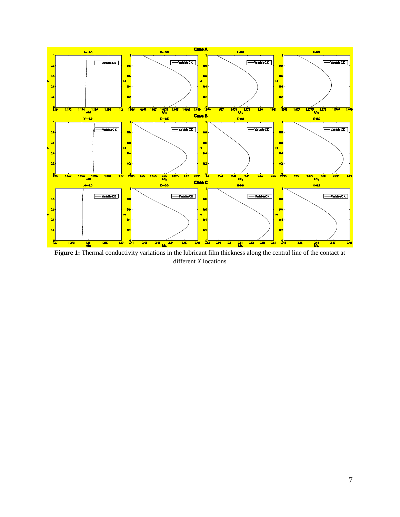

**Figure 1:** Thermal conductivity variations in the lubricant film thickness along the central line of the contact at different *X* locations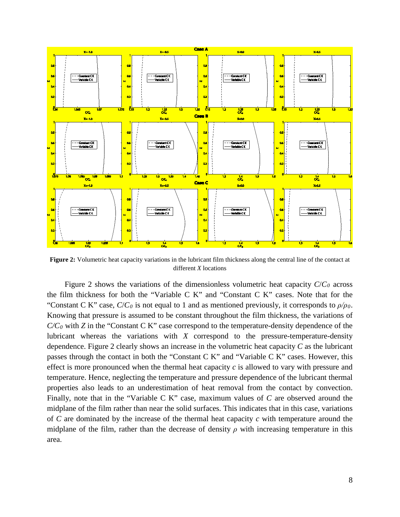

**Figure 2:** Volumetric heat capacity variations in the lubricant film thickness along the central line of the contact at different *X* locations

Figure 2 shows the variations of the dimensionless volumetric heat capacity *C*/*C0* across the film thickness for both the "Variable C K" and "Constant C K" cases. Note that for the "Constant C K" case, *C*/*C0* is not equal to 1 and as mentioned previously, it corresponds to *ρ/ρ0*. Knowing that pressure is assumed to be constant throughout the film thickness, the variations of *C/C0* with *Z* in the "Constant C K" case correspond to the temperature-density dependence of the lubricant whereas the variations with *X* correspond to the pressure-temperature-density dependence. Figure 2 clearly shows an increase in the volumetric heat capacity *C* as the lubricant passes through the contact in both the "Constant C K" and "Variable C K" cases. However, this effect is more pronounced when the thermal heat capacity *c* is allowed to vary with pressure and temperature. Hence, neglecting the temperature and pressure dependence of the lubricant thermal properties also leads to an underestimation of heat removal from the contact by convection. Finally, note that in the "Variable C K" case, maximum values of *C* are observed around the midplane of the film rather than near the solid surfaces. This indicates that in this case, variations of *C* are dominated by the increase of the thermal heat capacity *c* with temperature around the midplane of the film, rather than the decrease of density  $\rho$  with increasing temperature in this area.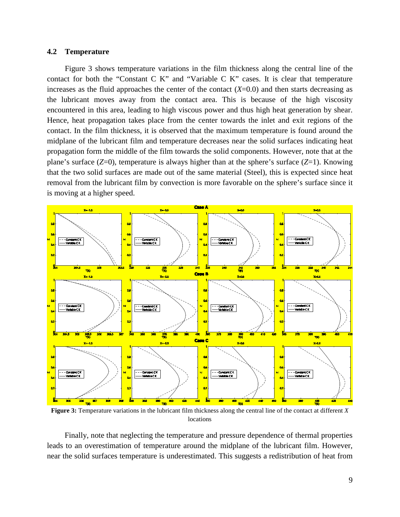#### **4.2 Temperature**

Figure 3 shows temperature variations in the film thickness along the central line of the contact for both the "Constant C K" and "Variable C K" cases. It is clear that temperature increases as the fluid approaches the center of the contact  $(X=0.0)$  and then starts decreasing as the lubricant moves away from the contact area. This is because of the high viscosity encountered in this area, leading to high viscous power and thus high heat generation by shear. Hence, heat propagation takes place from the center towards the inlet and exit regions of the contact. In the film thickness, it is observed that the maximum temperature is found around the midplane of the lubricant film and temperature decreases near the solid surfaces indicating heat propagation form the middle of the film towards the solid components. However, note that at the plane's surface (*Z*=0), temperature is always higher than at the sphere's surface (*Z*=1). Knowing that the two solid surfaces are made out of the same material (Steel), this is expected since heat removal from the lubricant film by convection is more favorable on the sphere's surface since it is moving at a higher speed.



**Figure 3:** Temperature variations in the lubricant film thickness along the central line of the contact at different *X* locations

Finally, note that neglecting the temperature and pressure dependence of thermal properties leads to an overestimation of temperature around the midplane of the lubricant film. However, near the solid surfaces temperature is underestimated. This suggests a redistribution of heat from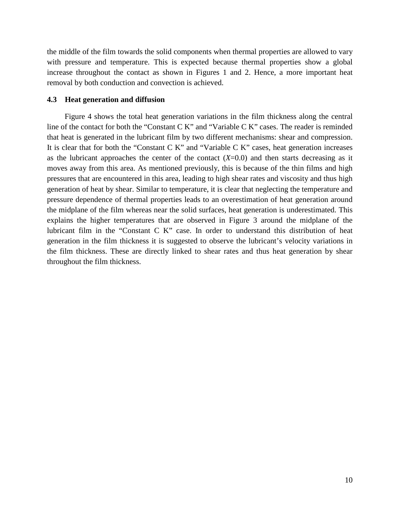the middle of the film towards the solid components when thermal properties are allowed to vary with pressure and temperature. This is expected because thermal properties show a global increase throughout the contact as shown in Figures 1 and 2. Hence, a more important heat removal by both conduction and convection is achieved.

## **4.3 Heat generation and diffusion**

Figure 4 shows the total heat generation variations in the film thickness along the central line of the contact for both the "Constant C K" and "Variable C K" cases. The reader is reminded that heat is generated in the lubricant film by two different mechanisms: shear and compression. It is clear that for both the "Constant C K" and "Variable C K" cases, heat generation increases as the lubricant approaches the center of the contact  $(X=0.0)$  and then starts decreasing as it moves away from this area. As mentioned previously, this is because of the thin films and high pressures that are encountered in this area, leading to high shear rates and viscosity and thus high generation of heat by shear. Similar to temperature, it is clear that neglecting the temperature and pressure dependence of thermal properties leads to an overestimation of heat generation around the midplane of the film whereas near the solid surfaces, heat generation is underestimated. This explains the higher temperatures that are observed in Figure 3 around the midplane of the lubricant film in the "Constant C K" case. In order to understand this distribution of heat generation in the film thickness it is suggested to observe the lubricant's velocity variations in the film thickness. These are directly linked to shear rates and thus heat generation by shear throughout the film thickness.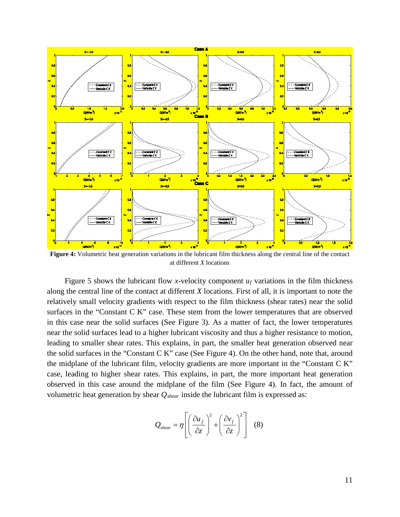

**Figure 4:** Volumetric heat generation variations in the lubricant film thickness along the central line of the contact at different *X* locations

Figure 5 shows the lubricant flow *x*-velocity component  $u_f$  variations in the film thickness along the central line of the contact at different *X* locations. First of all, it is important to note the relatively small velocity gradients with respect to the film thickness (shear rates) near the solid surfaces in the "Constant C K" case. These stem from the lower temperatures that are observed in this case near the solid surfaces (See Figure 3). As a matter of fact, the lower temperatures near the solid surfaces lead to a higher lubricant viscosity and thus a higher resistance to motion, leading to smaller shear rates. This explains, in part, the smaller heat generation observed near the solid surfaces in the "Constant C K" case (See Figure 4). On the other hand, note that, around the midplane of the lubricant film, velocity gradients are more important in the "Constant C K" case, leading to higher shear rates. This explains, in part, the more important heat generation observed in this case around the midplane of the film (See Figure 4). In fact, the amount of volumetric heat generation by shear *Qshear* inside the lubricant film is expressed as:

$$
Q_{shear} = \eta \left[ \left( \frac{\partial u_f}{\partial z} \right)^2 + \left( \frac{\partial v_f}{\partial z} \right)^2 \right] \quad (8)
$$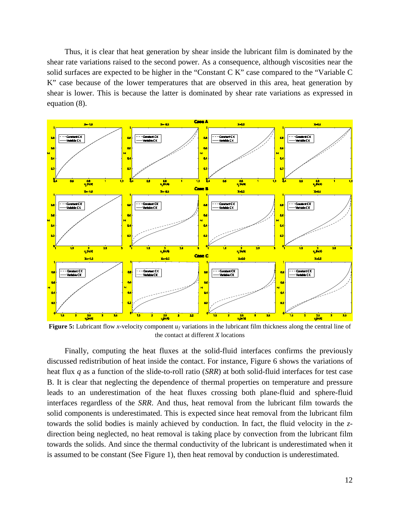Thus, it is clear that heat generation by shear inside the lubricant film is dominated by the shear rate variations raised to the second power. As a consequence, although viscosities near the solid surfaces are expected to be higher in the "Constant C K" case compared to the "Variable C K" case because of the lower temperatures that are observed in this area, heat generation by shear is lower. This is because the latter is dominated by shear rate variations as expressed in equation (8).



**Figure 5:** Lubricant flow *x*-velocity component *u<sub>f</sub>* variations in the lubricant film thickness along the central line of the contact at different *X* locations

Finally, computing the heat fluxes at the solid-fluid interfaces confirms the previously discussed redistribution of heat inside the contact. For instance, Figure 6 shows the variations of heat flux *q* as a function of the slide-to-roll ratio (*SRR*) at both solid-fluid interfaces for test case B. It is clear that neglecting the dependence of thermal properties on temperature and pressure leads to an underestimation of the heat fluxes crossing both plane-fluid and sphere-fluid interfaces regardless of the *SRR*. And thus, heat removal from the lubricant film towards the solid components is underestimated. This is expected since heat removal from the lubricant film towards the solid bodies is mainly achieved by conduction. In fact, the fluid velocity in the *z*direction being neglected, no heat removal is taking place by convection from the lubricant film towards the solids. And since the thermal conductivity of the lubricant is underestimated when it is assumed to be constant (See Figure 1), then heat removal by conduction is underestimated.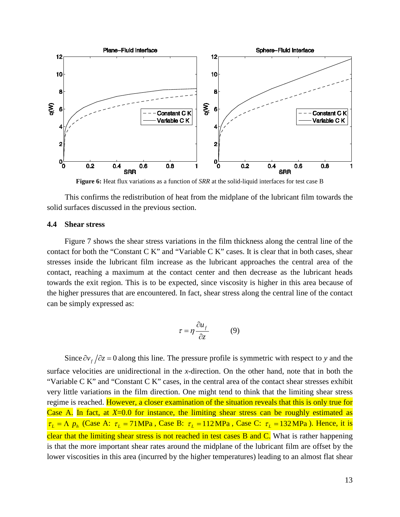

**Figure 6:** Heat flux variations as a function of *SRR* at the solid-liquid interfaces for test case B

This confirms the redistribution of heat from the midplane of the lubricant film towards the solid surfaces discussed in the previous section.

#### **4.4 Shear stress**

Figure 7 shows the shear stress variations in the film thickness along the central line of the contact for both the "Constant C K" and "Variable C K" cases. It is clear that in both cases, shear stresses inside the lubricant film increase as the lubricant approaches the central area of the contact, reaching a maximum at the contact center and then decrease as the lubricant heads towards the exit region. This is to be expected, since viscosity is higher in this area because of the higher pressures that are encountered. In fact, shear stress along the central line of the contact can be simply expressed as:

$$
\tau = \eta \frac{\partial u_f}{\partial z} \tag{9}
$$

Since  $\partial v_f / \partial z = 0$  along this line. The pressure profile is symmetric with respect to *y* and the

surface velocities are unidirectional in the *x*-direction. On the other hand, note that in both the "Variable C K" and "Constant C K" cases, in the central area of the contact shear stresses exhibit very little variations in the film direction. One might tend to think that the limiting shear stress regime is reached. However, a closer examination of the situation reveals that this is only true for Case A. In fact, at *X*=0.0 for instance, the limiting shear stress can be roughly estimated as  $\tau_L = \Lambda p_h$  (Case A:  $\tau_L = 71 \text{MPa}$ , Case B:  $\tau_L = 112 \text{MPa}$ , Case C:  $\tau_L = 132 \text{MPa}$ ). Hence, it is clear that the limiting shear stress is not reached in test cases B and C. What is rather happening is that the more important shear rates around the midplane of the lubricant film are offset by the lower viscosities in this area (incurred by the higher temperatures) leading to an almost flat shear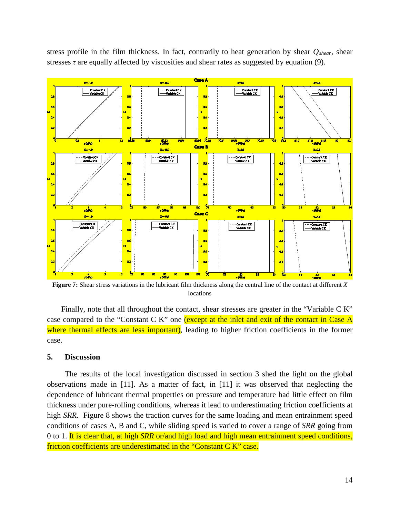stress profile in the film thickness. In fact, contrarily to heat generation by shear *Qshear*, shear stresses  $\tau$  are equally affected by viscosities and shear rates as suggested by equation (9).



**Figure 7:** Shear stress variations in the lubricant film thickness along the central line of the contact at different *X* locations

Finally, note that all throughout the contact, shear stresses are greater in the "Variable C K" case compared to the "Constant C K" one (except at the inlet and exit of the contact in Case A where thermal effects are less important), leading to higher friction coefficients in the former case.

#### **5. Discussion**

The results of the local investigation discussed in section 3 shed the light on the global observations made in [\[11\].](#page-18-1) As a matter of fact, in [\[11\]](#page-18-1) it was observed that neglecting the dependence of lubricant thermal properties on pressure and temperature had little effect on film thickness under pure-rolling conditions, whereas it lead to underestimating friction coefficients at high *SRR*. Figure 8 shows the traction curves for the same loading and mean entrainment speed conditions of cases A, B and C, while sliding speed is varied to cover a range of *SRR* going from 0 to 1. It is clear that, at high *SRR* or/and high load and high mean entrainment speed conditions, friction coefficients are underestimated in the "Constant C K" case.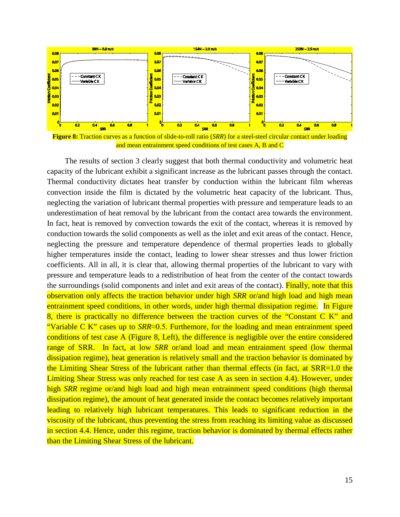

**Figure 8:** Traction curves as a function of slide-to-roll ratio (*SRR*) for a steel-steel circular contact under loading and mean entrainment speed conditions of test cases A, B and C

The results of section 3 clearly suggest that both thermal conductivity and volumetric heat capacity of the lubricant exhibit a significant increase as the lubricant passes through the contact. Thermal conductivity dictates heat transfer by conduction within the lubricant film whereas convection inside the film is dictated by the volumetric heat capacity of the lubricant. Thus, neglecting the variation of lubricant thermal properties with pressure and temperature leads to an underestimation of heat removal by the lubricant from the contact area towards the environment. In fact, heat is removed by convection towards the exit of the contact, whereas it is removed by conduction towards the solid components as well as the inlet and exit areas of the contact. Hence, neglecting the pressure and temperature dependence of thermal properties leads to globally higher temperatures inside the contact, leading to lower shear stresses and thus lower friction coefficients. All in all, it is clear that, allowing thermal properties of the lubricant to vary with pressure and temperature leads to a redistribution of heat from the center of the contact towards the surroundings (solid components and inlet and exit areas of the contact). Finally, note that this observation only affects the traction behavior under high *SRR* or/and high load and high mean entrainment speed conditions, in other words, under high thermal dissipation regime. In Figure 8, there is practically no difference between the traction curves of the "Constant C K" and "Variable C K" cases up to *SRR*≈0.5. Furthemore, for the loading and mean entrainment speed conditions of test case A (Figure 8, Left), the difference is negligible over the entire considered range of SRR. In fact, at low *SRR* or/and load and mean entrainment speed (low thermal dissipation regime), heat generation is relatively small and the traction behavior is dominated by the Limiting Shear Stress of the lubricant rather than thermal effects (in fact, at SRR=1.0 the Limiting Shear Stress was only reached for test case A as seen in section 4.4). However, under high *SRR* regime or/and high load and high mean entrainment speed conditions (high thermal dissipation regime), the amount of heat generated inside the contact becomes relatively important leading to relatively high lubricant temperatures. This leads to significant reduction in the viscosity of the lubricant, thus preventing the stress from reaching its limiting value as discussed in section 4.4. Hence, under this regime, traction behavior is dominated by thermal effects rather than the Limiting Shear Stress of the lubricant.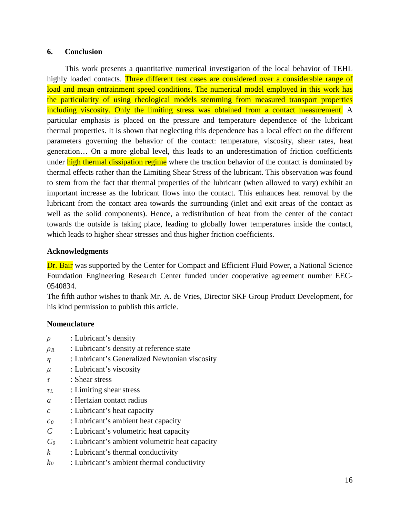# **6. Conclusion**

This work presents a quantitative numerical investigation of the local behavior of TEHL highly loaded contacts. Three different test cases are considered over a considerable range of load and mean entrainment speed conditions. The numerical model employed in this work has the particularity of using rheological models stemming from measured transport properties including viscosity. Only the limiting stress was obtained from a contact measurement. A particular emphasis is placed on the pressure and temperature dependence of the lubricant thermal properties. It is shown that neglecting this dependence has a local effect on the different parameters governing the behavior of the contact: temperature, viscosity, shear rates, heat generation… On a more global level, this leads to an underestimation of friction coefficients under high thermal dissipation regime where the traction behavior of the contact is dominated by thermal effects rather than the Limiting Shear Stress of the lubricant. This observation was found to stem from the fact that thermal properties of the lubricant (when allowed to vary) exhibit an important increase as the lubricant flows into the contact. This enhances heat removal by the lubricant from the contact area towards the surrounding (inlet and exit areas of the contact as well as the solid components). Hence, a redistribution of heat from the center of the contact towards the outside is taking place, leading to globally lower temperatures inside the contact, which leads to higher shear stresses and thus higher friction coefficients.

# **Acknowledgments**

Dr. Bair was supported by the Center for Compact and Efficient Fluid Power, a National Science Foundation Engineering Research Center funded under cooperative agreement number EEC-0540834.

The fifth author wishes to thank Mr. A. de Vries, Director SKF Group Product Development, for his kind permission to publish this article.

# **Nomenclature**

- *ρ* : Lubricant's density
- *ρ<sup>R</sup>* : Lubricant's density at reference state
- *η* : Lubricant's Generalized Newtonian viscosity
- $\mu$  : Lubricant's viscosity
- *τ* : Shear stress
- *τ<sup>L</sup>* : Limiting shear stress
- *a* : Hertzian contact radius
- *c* : Lubricant's heat capacity
- *c0* : Lubricant's ambient heat capacity
- *C* : Lubricant's volumetric heat capacity
- *C0* : Lubricant's ambient volumetric heat capacity
- *k* : Lubricant's thermal conductivity
- *k0* : Lubricant's ambient thermal conductivity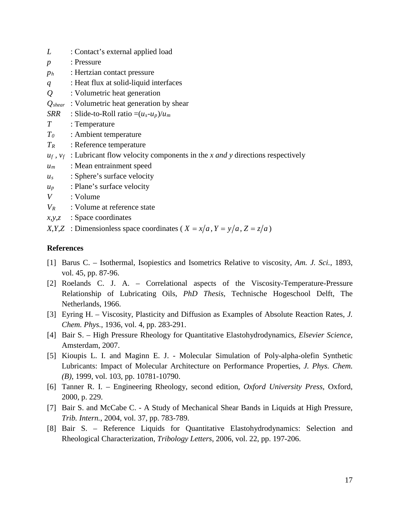- <span id="page-17-8"></span>*L* : Contact's external applied load
- *p* : Pressure
- *ph* : Hertzian contact pressure
- *q* : Heat flux at solid-liquid interfaces
- *Q* : Volumetric heat generation
- *Qshear* : Volumetric heat generation by shear

*SRR* : Slide-to-Roll ratio  $=(u_s-u_p)/u_m$ 

- *T* : Temperature
- *T0* : Ambient temperature
- *TR* : Reference temperature
- $u_f$ ,  $v_f$ : Lubricant flow velocity components in the *x and y* directions respectively
- *um* : Mean entrainment speed
- *us* : Sphere's surface velocity
- *up* : Plane's surface velocity
- *V* : Volume
- *VR* : Volume at reference state
- *x,y,z* : Space coordinates

*X,Y,Z* : Dimensionless space coordinates (*X = x/a,Y = y/a,Z = z/a*)

# **References**

- <span id="page-17-0"></span>[1] Barus C. – Isothermal, Isopiestics and Isometrics Relative to viscosity, *Am. J. Sci.*, 1893, vol. 45, pp. 87-96.
- <span id="page-17-1"></span>[2] Roelands C. J. A. – Correlational aspects of the Viscosity-Temperature-Pressure Relationship of Lubricating Oils, *PhD Thesis*, Technische Hogeschool Delft, The Netherlands, 1966.
- <span id="page-17-2"></span>[3] Eyring H. – Viscosity, Plasticity and Diffusion as Examples of Absolute Reaction Rates, *J. Chem. Phys.*, 1936, vol. 4, pp. 283-291.
- <span id="page-17-3"></span>[4] Bair S. – High Pressure Rheology for Quantitative Elastohydrodynamics, *Elsevier Science*, Amsterdam, 2007.
- <span id="page-17-4"></span>[5] Kioupis L. I. and Maginn E. J. - Molecular Simulation of Poly-alpha-olefin Synthetic Lubricants: Impact of Molecular Architecture on Performance Properties, *J. Phys. Chem. (B)*, 1999, vol. 103, pp. 10781-10790.
- <span id="page-17-5"></span>[6] Tanner R. I. – Engineering Rheology, second edition, *Oxford University Press*, Oxford, 2000, p. 229.
- <span id="page-17-6"></span>[7] Bair S. and McCabe C. - A Study of Mechanical Shear Bands in Liquids at High Pressure, *Trib. Intern.*, 2004, vol. 37, pp. 783-789.
- <span id="page-17-7"></span>[8] Bair S. – Reference Liquids for Quantitative Elastohydrodynamics: Selection and Rheological Characterization, *Tribology Letters*, 2006, vol. 22, pp. 197-206.